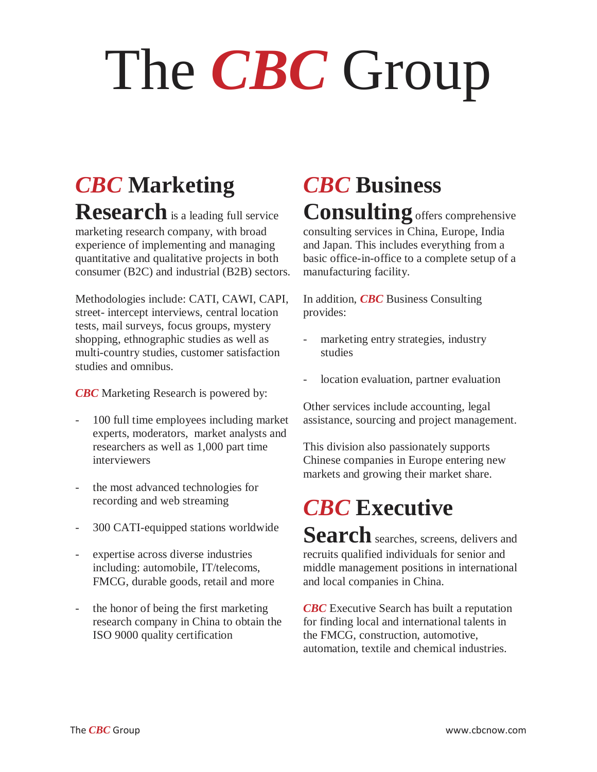# The *CBC* Group

## *CBC* **Marketing**

**Research** is a leading full service marketing research company, with broad experience of implementing and managing quantitative and qualitative projects in both consumer (B2C) and industrial (B2B) sectors.

Methodologies include: CATI, CAWI, CAPI, street- intercept interviews, central location tests, mail surveys, focus groups, mystery shopping, ethnographic studies as well as multi-country studies, customer satisfaction studies and omnibus.

*CBC* Marketing Research is powered by:

- 100 full time employees including market experts, moderators, market analysts and researchers as well as 1,000 part time interviewers
- the most advanced technologies for recording and web streaming
- 300 CATI-equipped stations worldwide
- expertise across diverse industries including: automobile, IT/telecoms, FMCG, durable goods, retail and more
- the honor of being the first marketing research company in China to obtain the ISO 9000 quality certification

## *CBC* **Business Consulting** offers comprehensive

consulting services in China, Europe, India and Japan. This includes everything from a basic office-in-office to a complete setup of a manufacturing facility.

In addition, *CBC* Business Consulting provides:

- marketing entry strategies, industry studies
- location evaluation, partner evaluation

Other services include accounting, legal assistance, sourcing and project management.

This division also passionately supports Chinese companies in Europe entering new markets and growing their market share.

## *CBC* **Executive**

Search searches, screens, delivers and recruits qualified individuals for senior and middle management positions in international and local companies in China.

*CBC* Executive Search has built a reputation for finding local and international talents in the FMCG, construction, automotive, automation, textile and chemical industries.